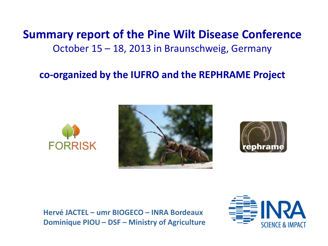### **Summary report of the Pine Wilt Disease Conference** October 15 – 18, 2013 in Braunschweig, Germany

#### **co-organized by the IUFRO and the REPHRAME Project**







**Hervé JACTEL – umr BIOGECO – INRA Bordeaux Dominique PIOU – DSF – Ministry of Agriculture** 

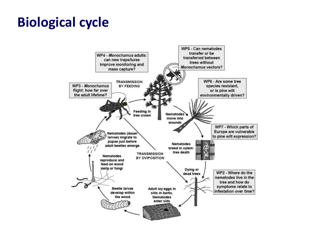# **Biological cycle**

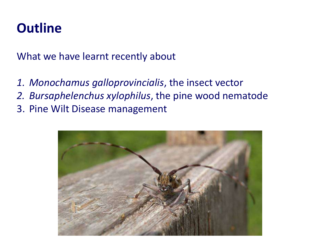# **Outline**

What we have learnt recently about

- *1. Monochamus galloprovincialis*, the insect vector
- *2. Bursaphelenchus xylophilus*, the pine wood nematode
- 3. Pine Wilt Disease management

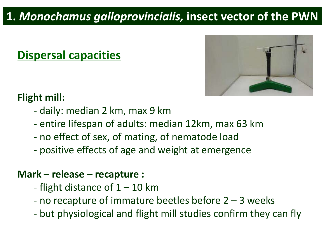# **1.** *Monochamus galloprovincialis,* **insect vector of the PWN**

# **Dispersal capacities**



### **Flight mill:**

- daily: median 2 km, max 9 km
- entire lifespan of adults: median 12km, max 63 km
- no effect of sex, of mating, of nematode load
- positive effects of age and weight at emergence

#### **Mark – release – recapture :**

- flight distance of  $1 10$  km
- no recapture of immature beetles before  $2 3$  weeks
- but physiological and flight mill studies confirm they can fly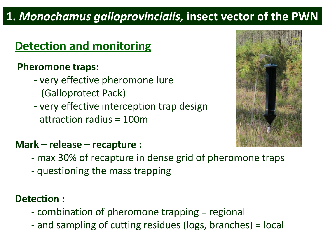# **1.** *Monochamus galloprovincialis,* **insect vector of the PWN**

# **Detection and monitoring**

#### **Pheromone traps:**

- very effective pheromone lure (Galloprotect Pack)
- very effective interception trap design
- attraction radius = 100m

### **Mark – release – recapture :**

- max 30% of recapture in dense grid of pheromone traps
- questioning the mass trapping

### **Detection :**

- combination of pheromone trapping = regional
- and sampling of cutting residues (logs, branches) = local

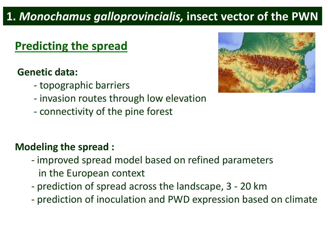# **1.** *Monochamus galloprovincialis,* **insect vector of the PWN**

# **Predicting the spread**

### **Genetic data:**

- topographic barriers
- invasion routes through low elevation
- connectivity of the pine forest

### **Modeling the spread :**

- improved spread model based on refined parameters in the European context
- prediction of spread across the landscape, 3 20 km
- prediction of inoculation and PWD expression based on climate

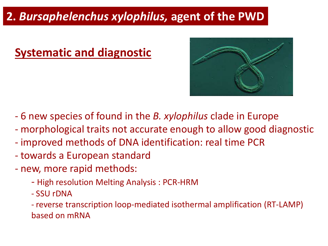# **2.** *Bursaphelenchus xylophilus,* **agent of the PWD**

# **Systematic and diagnostic**



- 6 new species of found in the *B. xylophilus* clade in Europe
- morphological traits not accurate enough to allow good diagnostic
- improved methods of DNA identification: real time PCR
- towards a European standard
- new, more rapid methods:
	- High resolution Melting Analysis : PCR-HRM
	- SSU rDNA

- reverse transcription loop-mediated isothermal amplification (RT-LAMP) based on mRNA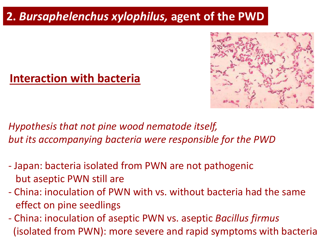# **2.** *Bursaphelenchus xylophilus,* **agent of the PWD**

### **Interaction with bacteria**



*Hypothesis that not pine wood nematode itself, but its accompanying bacteria were responsible for the PWD*

- Japan: bacteria isolated from PWN are not pathogenic but aseptic PWN still are
- China: inoculation of PWN with vs. without bacteria had the same effect on pine seedlings
- China: inoculation of aseptic PWN vs. aseptic *Bacillus firmus* (isolated from PWN): more severe and rapid symptoms with bacteria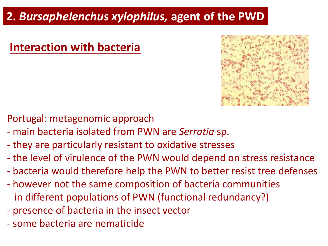# **2.** *Bursaphelenchus xylophilus,* **agent of the PWD**

# **Interaction with bacteria**



Portugal: metagenomic approach

- main bacteria isolated from PWN are *Serratia* sp.
- they are particularly resistant to oxidative stresses
- the level of virulence of the PWN would depend on stress resistance
- bacteria would therefore help the PWN to better resist tree defenses
- however not the same composition of bacteria communities in different populations of PWN (functional redundancy?)
- presence of bacteria in the insect vector
- some bacteria are nematicide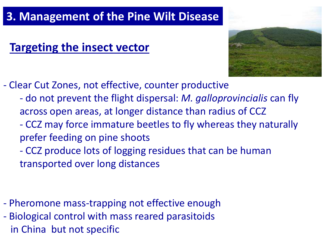## **3. Management of the Pine Wilt Disease**

# **Targeting the insect vector**



- Clear Cut Zones, not effective, counter productive

- do not prevent the flight dispersal: *M. galloprovincialis* can fly across open areas, at longer distance than radius of CCZ
- CCZ may force immature beetles to fly whereas they naturally prefer feeding on pine shoots
- CCZ produce lots of logging residues that can be human transported over long distances

- Pheromone mass-trapping not effective enough
- Biological control with mass reared parasitoids in China but not specific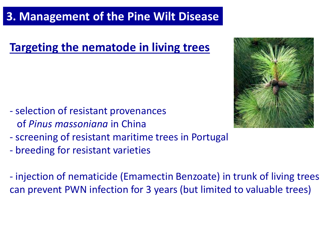### **3. Management of the Pine Wilt Disease**

# **Targeting the nematode in living trees**

- selection of resistant provenances of *Pinus massoniana* in China



- screening of resistant maritime trees in Portugal
- breeding for resistant varieties

- injection of nematicide (Emamectin Benzoate) in trunk of living trees can prevent PWN infection for 3 years (but limited to valuable trees)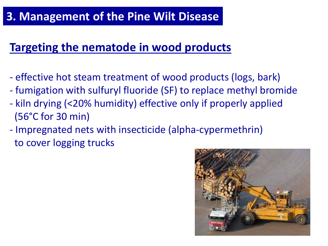### **Targeting the nematode in wood products**

- effective hot steam treatment of wood products (logs, bark)
- fumigation with sulfuryl fluoride (SF) to replace methyl bromide
- kiln drying (<20% humidity) effective only if properly applied (56°C for 30 min)
- Impregnated nets with insecticide (alpha-cypermethrin) to cover logging trucks

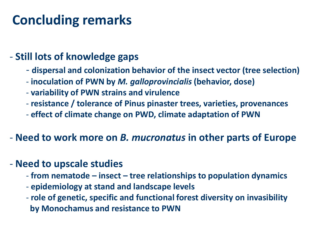# **Concluding remarks**

#### - **Still lots of knowledge gaps**

- **dispersal and colonization behavior of the insect vector (tree selection)**
- **inoculation of PWN by** *M. galloprovincialis* **(behavior, dose)**
- **variability of PWN strains and virulence**
- **resistance / tolerance of Pinus pinaster trees, varieties, provenances**
- **effect of climate change on PWD, climate adaptation of PWN**
- **Need to work more on** *B. mucronatus* **in other parts of Europe**

#### - **Need to upscale studies**

- **from nematode – insect – tree relationships to population dynamics**
- **epidemiology at stand and landscape levels**
- **role of genetic, specific and functional forest diversity on invasibility by Monochamus and resistance to PWN**